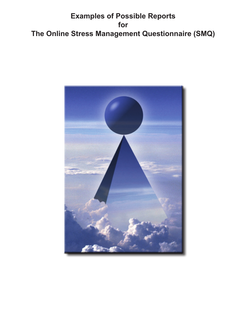# **Examples of Possible Reports for The Online Stress Management Questionnaire (SMQ)**

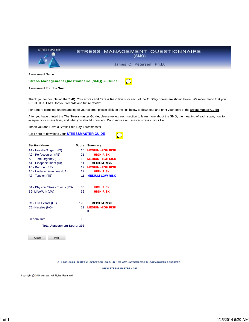

Assessment For: **Joe Smith**

Thank you for completing the **SMQ**. Your scores and "Stress Risk" levels for each of the 11 SMQ Scales are shown below. We recommend that you PRINT THIS PAGE for your records and future review.

For a more complete understanding of your scores, please click on the link below to download and print your copy of the **Stressmaster Guide**.

After you have printed the **The Stressmaster Guide**, please review each section to learn more about the SMQ, the meaning of each scale, how to interpret your stress level, and what you should Know and Do to reduce and master stress in your life.

Thank you and Have a Stress Free Day! Stressmaster

Click here to download your **STRESSMASTER GUIDE**

| <b>Section Name</b>                | Score | Summary                      |
|------------------------------------|-------|------------------------------|
| A1 - Hostility/Anger (HO)          | 15    | <b>MEDIUM-HIGH RISK</b>      |
| A2 - Perfectionism (PE)            | 21    | <b>HIGH RISK</b>             |
| A3 - Time-Urgency (TI)             | 10    | <b>MEDIUM-HIGH RISK</b>      |
| A4 - Disappointment (DI)           | 11    | <b>MEDIUM RISK</b>           |
| A5 - Burnout (BR)                  | 17    | <b>MEDIUM-HIGH RISK</b>      |
| A6 - Underachievement (UA)         | 17    | <b>HIGH RISK</b>             |
| A7 - Tension (TE)                  | 11    | <b>MEDIUM-LOW RISK</b>       |
| B1 - Physical Stress Effects (PS)  | 35    | <b>HIGH RISK</b>             |
| B2- Life/Work (LW)                 | 32    | <b>HIGH RISK</b>             |
| C1 - Life Events (LE)              | 196   | <b>MEDIUM RISK</b>           |
| C <sub>2</sub> - Hassles (HO)      | 12    | <b>MEDIUM-HIGH RISK</b><br>κ |
| General Info                       | 15    |                              |
| <b>Total Assessment Score: 392</b> |       |                              |

Close Print

C 1980-2013. JAMES C. PETERSEN, PH.D. ALL US AND INTERNATIONAL COPYRIGHTS RESERVED.

WWW.STRESSMASTER.COM

Copyright @ 2014 Assess. All Rights Reserved.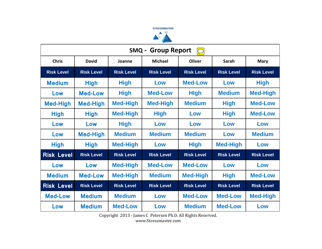

| <b>Group Report</b><br>SMQ -<br>$\boxed{\bigcirc}$ |                   |                   |                   |                   |                   |                   |
|----------------------------------------------------|-------------------|-------------------|-------------------|-------------------|-------------------|-------------------|
| <b>Chris</b>                                       | <b>David</b>      | Joanne            | <b>Michael</b>    | <b>Oliver</b>     | Sarah             | <b>Mary</b>       |
| <b>Risk Level</b>                                  | <b>Risk Level</b> | <b>Risk Level</b> | <b>Risk Level</b> | <b>Risk Level</b> | <b>Risk Level</b> | <b>Risk Level</b> |
| <b>Medium</b>                                      | <b>High</b>       | <b>High</b>       | Low               | <b>Med-Low</b>    | Low               | <b>High</b>       |
| Low                                                | <b>Med-Low</b>    | <b>High</b>       | <b>Med-Low</b>    | <b>High</b>       | <b>Medium</b>     | <b>Med-High</b>   |
| <b>Med-High</b>                                    | <b>Med-High</b>   | <b>Med-High</b>   | <b>Med-High</b>   | <b>Medium</b>     | <b>High</b>       | <b>Med-Low</b>    |
| <b>High</b>                                        | <b>High</b>       | <b>Med-High</b>   | <b>High</b>       | Low               | <b>High</b>       | <b>Med-Low</b>    |
| Low                                                | Low               | <b>High</b>       | Low               | Low               | Low               | Low               |
| Low                                                | <b>Med-High</b>   | <b>Medium</b>     | <b>Medium</b>     | <b>Medium</b>     | Low               | <b>Medium</b>     |
| <b>High</b>                                        | <b>High</b>       | <b>Med-High</b>   | Low               | <b>High</b>       | <b>Med-High</b>   | Low               |
| <b>Risk Level</b>                                  | <b>Risk Level</b> | <b>Risk Level</b> | <b>Risk Level</b> | <b>Risk Level</b> | <b>Risk Level</b> | <b>Risk Level</b> |
| Low                                                | Low               | <b>Med-High</b>   | <b>Med-Low</b>    | <b>Med-Low</b>    | Low               | Low               |
| <b>Medium</b>                                      | <b>Med-Low</b>    | <b>Med-High</b>   | <b>Medium</b>     | <b>Med-High</b>   | <b>High</b>       | <b>Med-Low</b>    |
| <b>Risk Level</b>                                  | <b>Risk Level</b> | <b>Risk Level</b> | <b>Risk Level</b> | <b>Risk Level</b> | <b>Risk Level</b> | <b>Risk Level</b> |
| <b>Med-Low</b>                                     | <b>Medium</b>     | <b>Medium</b>     | Low               | <b>Med-Low</b>    | <b>Med-Low</b>    | <b>Med-High</b>   |
| Low                                                | <b>Medium</b>     | <b>Med-Low</b>    | Low               | <b>Medium</b>     | <b>Med-Low</b>    | Low               |

Copyright 2013 - James C Petersen Ph.D. All Rights Reserved.

www.Stressmaster.com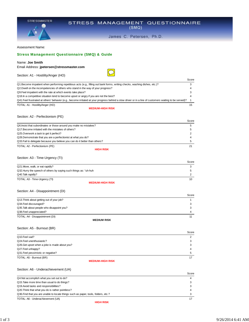|                                                                                                                                             | James C. Petersen, Ph.D.                                                                                                                               |        |
|---------------------------------------------------------------------------------------------------------------------------------------------|--------------------------------------------------------------------------------------------------------------------------------------------------------|--------|
| <b>Assessment Name:</b>                                                                                                                     |                                                                                                                                                        |        |
| <b>Stress Management Questionnaire (SMQ) &amp; Guide</b>                                                                                    |                                                                                                                                                        |        |
|                                                                                                                                             |                                                                                                                                                        |        |
| Name: Joe Smith                                                                                                                             |                                                                                                                                                        |        |
| Email Address: jpetersen@stressmaster.com                                                                                                   |                                                                                                                                                        |        |
| Section: A1 - Hostility/Anger (HO)                                                                                                          |                                                                                                                                                        |        |
|                                                                                                                                             |                                                                                                                                                        | Score  |
| Q1.Become impatient when performing repetitious acts (e.g., filling out bank forms, writing checks, washing dishes, etc.)?                  |                                                                                                                                                        | 3      |
| Q2.Dwell on the incompetencies of others who stand in the way of your progress?                                                             |                                                                                                                                                        | 4      |
| Q9. Feel impatient with the rate at which events take place?                                                                                |                                                                                                                                                        | 3      |
| Q18. In a competitive situation tend to become upset or angry if you are not the best?                                                      |                                                                                                                                                        | 4      |
|                                                                                                                                             | Q41.Feel frustrated at others' behavior (e.g., become irritated at your progress behind a slow driver or in a line of customers waiting to be served)? | 1      |
| TOTAL: A1 - Hostility/Anger (HO)                                                                                                            | <b>MEDIUM-HIGH RISK</b>                                                                                                                                | 15     |
|                                                                                                                                             |                                                                                                                                                        |        |
| Section: A2 - Perfectionism (PE)                                                                                                            |                                                                                                                                                        |        |
|                                                                                                                                             |                                                                                                                                                        | Score  |
| Q6. Insist that subordinates or those around you make no mistakes?                                                                          |                                                                                                                                                        | 5      |
| Q17. Become irritated with the mistakes of others?                                                                                          |                                                                                                                                                        | 5      |
| Q25.Overwork a task to get it perfect?                                                                                                      |                                                                                                                                                        | 2      |
| Q28.Demonstrate that you are a perfectionist at what you do?<br>Q33. Fail to delegate because you believe you can do it better than others? |                                                                                                                                                        | 4<br>5 |
|                                                                                                                                             |                                                                                                                                                        |        |
| TOTAL: A2 - Perfectionism (PE)                                                                                                              | <b>HIGH RISK</b>                                                                                                                                       | 21     |
| Section: A3 - Time-Urgency (TI)                                                                                                             |                                                                                                                                                        |        |
|                                                                                                                                             |                                                                                                                                                        | Score  |
| Q21. Move, walk, or eat rapidly?                                                                                                            |                                                                                                                                                        | 3      |
| Q32. Hurry the speech of others by saying such things as: "uh-huh                                                                           |                                                                                                                                                        | 5      |
| Q40.Talk rapidly?                                                                                                                           |                                                                                                                                                        | 2      |
| TOTAL: A3 - Time-Urgency (TI)                                                                                                               |                                                                                                                                                        | 10     |
|                                                                                                                                             | <b>MEDIUM-HIGH RISK</b>                                                                                                                                |        |
| Section: A4 - Disappointment (DI)                                                                                                           |                                                                                                                                                        |        |
|                                                                                                                                             |                                                                                                                                                        | Score  |
| Q13. Think about getting out of your job?                                                                                                   |                                                                                                                                                        | 1      |
| Q34. Feel discouraged?                                                                                                                      |                                                                                                                                                        | 3      |
| Q35. Talk about people who disappoint you?                                                                                                  |                                                                                                                                                        | 3      |
| Q38.Feel unappreciated?                                                                                                                     |                                                                                                                                                        | 4      |
| TOTAL: A4 - Disappointment (DI)                                                                                                             |                                                                                                                                                        | 11     |
|                                                                                                                                             | <b>MEDIUM RISK</b>                                                                                                                                     |        |
| Section: A5 - Burnout (BR)                                                                                                                  |                                                                                                                                                        |        |
|                                                                                                                                             |                                                                                                                                                        | Score  |
| Q10.Feel sad?                                                                                                                               |                                                                                                                                                        | 2      |
| Q24. Feel unenthusiastic?                                                                                                                   |                                                                                                                                                        | 3      |
| Q26. Get upset when a joke is made about you?                                                                                               |                                                                                                                                                        | 3      |
| Q27. Feel unhappy?                                                                                                                          |                                                                                                                                                        | 4      |

STRESS MANAGEMENT QUESTIONNAIRE

#### Section: A6 - Underachievement (UA)

Q31.Feel pessimistic or negative? TOTAL: A5 - Burnout (BR)

**STRESSMASTER** 

|                                                                                     | Score |
|-------------------------------------------------------------------------------------|-------|
| Q4. Not accomplish what you set out to do?                                          |       |
| Q15. Take more time than usual to do things?                                        |       |
| Q19. Avoid tasks and responsibilities?                                              |       |
| Q20. Think that what you do is rather pointless?                                    |       |
| Q36. Find that you are unable to locate things such as paper, tools, folders, etc.? |       |
| TOTAL: A6 - Underachievement (UA)                                                   |       |

**MEDIUM-HIGH RISK**

 $\frac{5}{17}$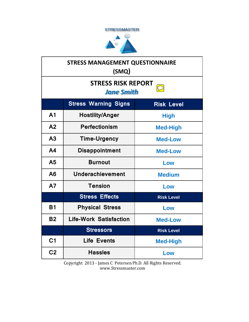



| <b>STRESS MANAGEMENT QUESTIONNAIRE</b><br>(SMQ)  |                               |                   |
|--------------------------------------------------|-------------------------------|-------------------|
| <b>STRESS RISK REPORT</b><br><b>Jane Smith</b>   |                               |                   |
| <b>Stress Warning Signs</b><br><b>Risk Level</b> |                               |                   |
| A <sub>1</sub>                                   | <b>Hostility/Anger</b>        | <b>High</b>       |
| A <sub>2</sub>                                   | <b>Perfectionism</b>          | <b>Med-High</b>   |
| A <sub>3</sub>                                   | <b>Time-Urgency</b>           | <b>Med-Low</b>    |
| A <sub>4</sub>                                   | <b>Disappointment</b>         | <b>Med-Low</b>    |
| A <sub>5</sub>                                   | <b>Burnout</b>                | Low               |
| A6                                               | <b>Underachievement</b>       | <b>Medium</b>     |
| A7                                               | <b>Tension</b>                | Low               |
|                                                  | <b>Stress Effects</b>         | <b>Risk Level</b> |
| <b>B1</b>                                        | <b>Physical Stress</b>        | Low               |
| <b>B2</b>                                        | <b>Life-Work Satisfaction</b> | <b>Med-Low</b>    |
|                                                  | <b>Stressors</b>              | <b>Risk Level</b> |
| C <sub>1</sub>                                   | <b>Life Events</b>            | <b>Med-High</b>   |
| C <sub>2</sub>                                   | <b>Hassles</b>                | Low               |

Copyright 2013 - James C Petersen Ph.D. All Rights Reserved. www.Stressmaster.com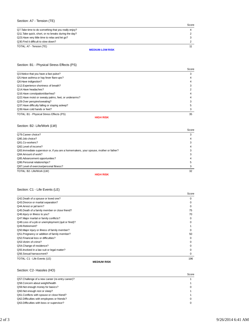## Section: A7 - Tension (TE)

|                                                      | Score |
|------------------------------------------------------|-------|
| Q7. Take time to do something that you really enjoy? |       |
| Q11. Take quick, short, or no breaks during the day? |       |
| Q23. Have very little time to relax and let go?      |       |
| Q30. Find it difficult to slow down?                 |       |
| TOTAL: A7 - Tension (TE)                             |       |
| <b>MEDIUM-LOW RISK</b>                               |       |

# Section: B1 - Physical Stress Effects (PS)

|                                                      | Score |
|------------------------------------------------------|-------|
| Q3. Notice that you have a fast pulse?               | 3     |
| Q5. Have asthma or hay fever flare-ups?              |       |
| Q8. Have indigestion?                                |       |
| Q12. Experience shortness of breath?                 |       |
| Q14. Have headaches?                                 |       |
| Q16.Have constipation/diarrhea?                      |       |
| Q22. Have moist or sweaty palms, feet, or underarms? |       |
| Q29.Over perspire/sweating?                          |       |
| Q37. Have difficulty falling or staying asleep?      |       |
| Q39. Have cold hands or feet?                        |       |
| TOTAL: B1 - Physical Stress Effects (PS)             | 35    |
| <b>HIGH RISK</b>                                     |       |

Section: B2- Life/Work (LW)

|                                                                                      | Score |
|--------------------------------------------------------------------------------------|-------|
| Q79.Career choice?                                                                   |       |
| Q80.Job choice?                                                                      |       |
| Q81.Co-workers?                                                                      |       |
| Q82.Level of income?                                                                 |       |
| Q83.Immediate supervisor or, if you are a homemakers, your spouse, mother or father? |       |
| Q84.Amount of work?                                                                  |       |
| Q85.Advancement opportunities?                                                       |       |
| Q86.Personal relationships?                                                          |       |
| Q87.Level of exercise/personal fitness?                                              |       |
| TOTAL: B2- Life/Work (LW)                                                            | 32    |

**HIGH RISK**

### Section: C1 - Life Events (LE)

|                                                    | Score        |
|----------------------------------------------------|--------------|
| Q42.Death of a spouse or loved one?                | $\Omega$     |
| Q43. Divorce or marital separation?                | $\Omega$     |
| Q44.Arrest or jail term?                           | $\Omega$     |
| Q45.Death of a family member or close friend?      | 75           |
| Q46. Injury or illness to you?                     | 70           |
| Q47. Major marital or family conflicts?            | $\Omega$     |
| Q48.Loss of a job or unemployment (quit or fired)? | <sup>0</sup> |
| Q49.Retirement?                                    |              |
| Q50. Major injury or illness of family member?     | O            |
| Q51. Pregnancy or addition of family member?       | 50           |
| Q52. Financial loss or difficulties?               | 0            |
| Q53. Victim of crime?                              | $\Omega$     |
| Q54.Change of residence?                           | $\Omega$     |
| Q55. Involved in a law suit or legal matter?       | O            |
| Q56.Sexual harrassment?                            | 0            |
| TOTAL: C1 - Life Events (LE)                       | 196          |

**MEDIUM RISK**

Section: C2- Hassles (HO)

|                                                   | Score |
|---------------------------------------------------|-------|
| Q57. Challenge of a new career (re-entry career)? |       |
| Q58.Concern about weight/health                   |       |
| Q59. Not enough money for basics?                 |       |
| Q60.Not enough rest or sleep?                     |       |
| Q61.Conflicts with spouse or close friend?        |       |
| Q62.Difficulties with employees or friends?       |       |
| Q63.Difficulties with boss or supervisor?         |       |